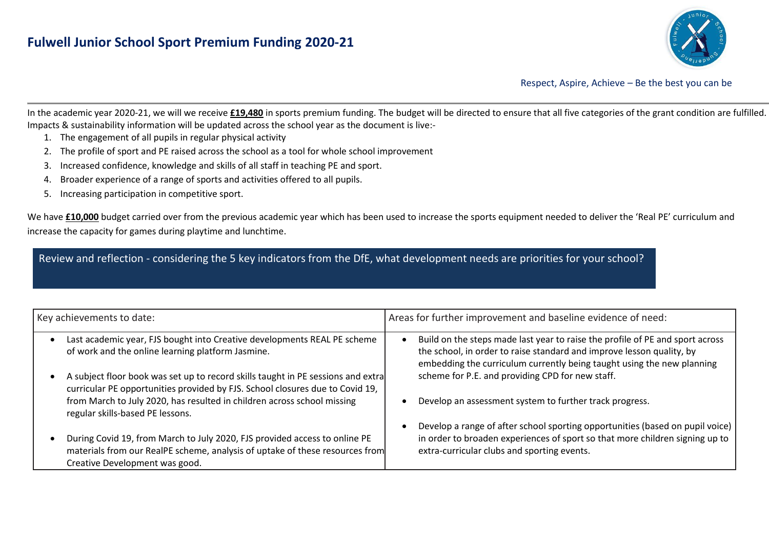

Respect, Aspire, Achieve – Be the best you can be

In the academic year 2020-21, we will we receive **£19,480** in sports premium funding. The budget will be directed to ensure that all five categories of the grant condition are fulfilled. Impacts & sustainability information will be updated across the school year as the document is live:-

- 1. The engagement of all pupils in regular physical activity
- 2. The profile of sport and PE raised across the school as a tool for whole school improvement
- 3. Increased confidence, knowledge and skills of all staff in teaching PE and sport.
- 4. Broader experience of a range of sports and activities offered to all pupils.
- 5. Increasing participation in competitive sport.

We have £10,000 budget carried over from the previous academic year which has been used to increase the sports equipment needed to deliver the 'Real PE' curriculum and increase the capacity for games during playtime and lunchtime.

Review and reflection - considering the 5 key indicators from the DfE, what development needs are priorities for your school?

| Key achievements to date: |                                                                                                                                                                                              | Areas for further improvement and baseline evidence of need: |                                                                                                                                                                                                                                  |  |
|---------------------------|----------------------------------------------------------------------------------------------------------------------------------------------------------------------------------------------|--------------------------------------------------------------|----------------------------------------------------------------------------------------------------------------------------------------------------------------------------------------------------------------------------------|--|
|                           | Last academic year, FJS bought into Creative developments REAL PE scheme<br>of work and the online learning platform Jasmine.                                                                |                                                              | Build on the steps made last year to raise the profile of PE and sport across<br>the school, in order to raise standard and improve lesson quality, by<br>embedding the curriculum currently being taught using the new planning |  |
|                           | A subject floor book was set up to record skills taught in PE sessions and extral<br>curricular PE opportunities provided by FJS. School closures due to Covid 19,                           |                                                              | scheme for P.E. and providing CPD for new staff.                                                                                                                                                                                 |  |
|                           | from March to July 2020, has resulted in children across school missing<br>regular skills-based PE lessons.                                                                                  |                                                              | Develop an assessment system to further track progress.                                                                                                                                                                          |  |
|                           |                                                                                                                                                                                              |                                                              | Develop a range of after school sporting opportunities (based on pupil voice)                                                                                                                                                    |  |
|                           | During Covid 19, from March to July 2020, FJS provided access to online PE<br>materials from our RealPE scheme, analysis of uptake of these resources from<br>Creative Development was good. |                                                              | in order to broaden experiences of sport so that more children signing up to<br>extra-curricular clubs and sporting events.                                                                                                      |  |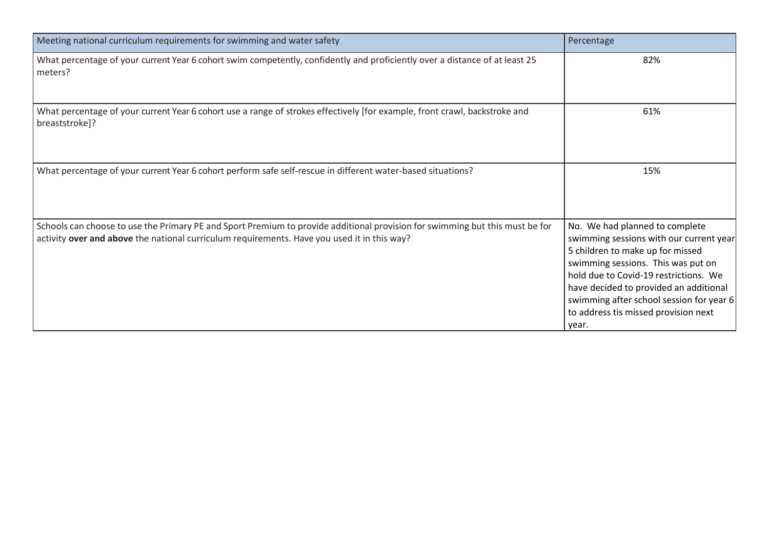| Meeting national curriculum requirements for swimming and water safety                                                                                                                                                      | Percentage                                                                                                                                                                                                                                                                                                                          |
|-----------------------------------------------------------------------------------------------------------------------------------------------------------------------------------------------------------------------------|-------------------------------------------------------------------------------------------------------------------------------------------------------------------------------------------------------------------------------------------------------------------------------------------------------------------------------------|
| What percentage of your current Year 6 cohort swim competently, confidently and proficiently over a distance of at least 25<br>meters?                                                                                      | 82%                                                                                                                                                                                                                                                                                                                                 |
| What percentage of your current Year 6 cohort use a range of strokes effectively [for example, front crawl, backstroke and<br>breaststroke]?                                                                                | 61%                                                                                                                                                                                                                                                                                                                                 |
| What percentage of your current Year 6 cohort perform safe self-rescue in different water-based situations?                                                                                                                 | 15%                                                                                                                                                                                                                                                                                                                                 |
| Schools can choose to use the Primary PE and Sport Premium to provide additional provision for swimming but this must be for<br>activity over and above the national curriculum requirements. Have you used it in this way? | No. We had planned to complete<br>swimming sessions with our current year<br>5 children to make up for missed<br>swimming sessions. This was put on<br>hold due to Covid-19 restrictions. We<br>have decided to provided an additional<br>swimming after school session for year 6<br>to address tis missed provision next<br>year. |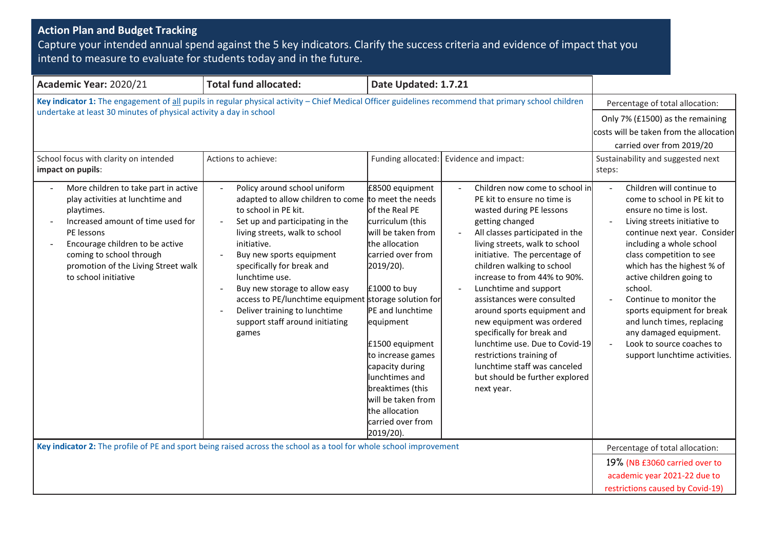## **Action Plan and Budget Tracking**

Capture your intended annual spend against the 5 key indicators. Clarify the success criteria and evidence of impact that you intend to measure to evaluate for students today and in the future.

| Academic Year: 2020/21                                                                                                                                                                                                                                                                                           | <b>Total fund allocated:</b><br>Date Updated: 1.7.21                                                                                                                                                                                                                                                                                                                                                                                                                                                  |                                                                                                                                                                                                                                                            |                                                                                                                                                                                                                                                                                                                                                                                            |                                                                                                                                                                                                                                                                                                                                                                                                 |
|------------------------------------------------------------------------------------------------------------------------------------------------------------------------------------------------------------------------------------------------------------------------------------------------------------------|-------------------------------------------------------------------------------------------------------------------------------------------------------------------------------------------------------------------------------------------------------------------------------------------------------------------------------------------------------------------------------------------------------------------------------------------------------------------------------------------------------|------------------------------------------------------------------------------------------------------------------------------------------------------------------------------------------------------------------------------------------------------------|--------------------------------------------------------------------------------------------------------------------------------------------------------------------------------------------------------------------------------------------------------------------------------------------------------------------------------------------------------------------------------------------|-------------------------------------------------------------------------------------------------------------------------------------------------------------------------------------------------------------------------------------------------------------------------------------------------------------------------------------------------------------------------------------------------|
| undertake at least 30 minutes of physical activity a day in school<br>School focus with clarity on intended<br>impact on pupils:<br>More children to take part in active<br>play activities at lunchtime and<br>playtimes.<br>Increased amount of time used for<br>PE lessons<br>Encourage children to be active | Key indicator 1: The engagement of all pupils in regular physical activity - Chief Medical Officer guidelines recommend that primary school children<br>Actions to achieve:<br>Funding allocated:<br>Policy around school uniform<br>£8500 equipment<br>adapted to allow children to come to meet the needs<br>to school in PE kit.<br>of the Real PE<br>Set up and participating in the<br>curriculum (this<br>will be taken from<br>living streets, walk to school<br>the allocation<br>initiative. |                                                                                                                                                                                                                                                            | Evidence and impact:<br>Children now come to school in<br>PE kit to ensure no time is<br>wasted during PE lessons<br>getting changed<br>All classes participated in the<br>living streets, walk to school                                                                                                                                                                                  | Percentage of total allocation:<br>Only 7% (£1500) as the remaining<br>costs will be taken from the allocation<br>carried over from 2019/20<br>Sustainability and suggested next<br>steps:<br>Children will continue to<br>$\overline{a}$<br>come to school in PE kit to<br>ensure no time is lost.<br>Living streets initiative to<br>continue next year. Consider<br>including a whole school |
| coming to school through<br>promotion of the Living Street walk<br>to school initiative                                                                                                                                                                                                                          | Buy new sports equipment<br>specifically for break and<br>lunchtime use.<br>Buy new storage to allow easy<br>access to PE/lunchtime equipment storage solution for<br>Deliver training to lunchtime<br>support staff around initiating<br>games                                                                                                                                                                                                                                                       | carried over from<br>2019/20).<br>£1000 to buy<br>PE and lunchtime<br>equipment<br>£1500 equipment<br>to increase games<br>capacity during<br>lunchtimes and<br>breaktimes (this<br>will be taken from<br>the allocation<br>carried over from<br>2019/20). | initiative. The percentage of<br>children walking to school<br>increase to from 44% to 90%.<br>Lunchtime and support<br>assistances were consulted<br>around sports equipment and<br>new equipment was ordered<br>specifically for break and<br>lunchtime use. Due to Covid-19<br>restrictions training of<br>lunchtime staff was canceled<br>but should be further explored<br>next year. | class competition to see<br>which has the highest % of<br>active children going to<br>school.<br>Continue to monitor the<br>sports equipment for break<br>and lunch times, replacing<br>any damaged equipment.<br>Look to source coaches to<br>support lunchtime activities.                                                                                                                    |
| Key indicator 2: The profile of PE and sport being raised across the school as a tool for whole school improvement                                                                                                                                                                                               |                                                                                                                                                                                                                                                                                                                                                                                                                                                                                                       |                                                                                                                                                                                                                                                            |                                                                                                                                                                                                                                                                                                                                                                                            | Percentage of total allocation:                                                                                                                                                                                                                                                                                                                                                                 |
|                                                                                                                                                                                                                                                                                                                  |                                                                                                                                                                                                                                                                                                                                                                                                                                                                                                       |                                                                                                                                                                                                                                                            |                                                                                                                                                                                                                                                                                                                                                                                            | 19% (NB £3060 carried over to<br>academic year 2021-22 due to<br>restrictions caused by Covid-19)                                                                                                                                                                                                                                                                                               |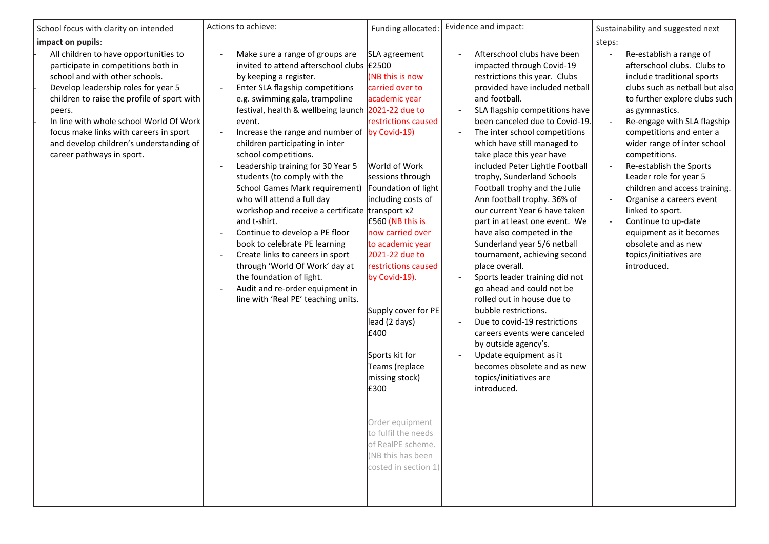| School focus with clarity on intended                                                                                                                                                                                                                                                                                                                                       | Actions to achieve:                                                                                                                                                                                                                                                                                                                                                                                                                                                                                                                                                                                                                                                                                                                                                                                                                                       | Funding allocated:                                                                                                                                                                                                                                                                                                                                                                                                                                                                                                            | Evidence and impact:                                                                                                                                                                                                                                                                                                                                                                                                                                                                                                                                                                                                                                                                                                                                                                                                                                                                                                                                             | Sustainability and suggested next                                                                                                                                                                                                                                                                                                                                                                                                                                                                                                            |
|-----------------------------------------------------------------------------------------------------------------------------------------------------------------------------------------------------------------------------------------------------------------------------------------------------------------------------------------------------------------------------|-----------------------------------------------------------------------------------------------------------------------------------------------------------------------------------------------------------------------------------------------------------------------------------------------------------------------------------------------------------------------------------------------------------------------------------------------------------------------------------------------------------------------------------------------------------------------------------------------------------------------------------------------------------------------------------------------------------------------------------------------------------------------------------------------------------------------------------------------------------|-------------------------------------------------------------------------------------------------------------------------------------------------------------------------------------------------------------------------------------------------------------------------------------------------------------------------------------------------------------------------------------------------------------------------------------------------------------------------------------------------------------------------------|------------------------------------------------------------------------------------------------------------------------------------------------------------------------------------------------------------------------------------------------------------------------------------------------------------------------------------------------------------------------------------------------------------------------------------------------------------------------------------------------------------------------------------------------------------------------------------------------------------------------------------------------------------------------------------------------------------------------------------------------------------------------------------------------------------------------------------------------------------------------------------------------------------------------------------------------------------------|----------------------------------------------------------------------------------------------------------------------------------------------------------------------------------------------------------------------------------------------------------------------------------------------------------------------------------------------------------------------------------------------------------------------------------------------------------------------------------------------------------------------------------------------|
| impact on pupils:                                                                                                                                                                                                                                                                                                                                                           |                                                                                                                                                                                                                                                                                                                                                                                                                                                                                                                                                                                                                                                                                                                                                                                                                                                           |                                                                                                                                                                                                                                                                                                                                                                                                                                                                                                                               |                                                                                                                                                                                                                                                                                                                                                                                                                                                                                                                                                                                                                                                                                                                                                                                                                                                                                                                                                                  | steps:                                                                                                                                                                                                                                                                                                                                                                                                                                                                                                                                       |
| All children to have opportunities to<br>participate in competitions both in<br>school and with other schools.<br>Develop leadership roles for year 5<br>children to raise the profile of sport with<br>peers.<br>In line with whole school World Of Work<br>focus make links with careers in sport<br>and develop children's understanding of<br>career pathways in sport. | Make sure a range of groups are<br>invited to attend afterschool clubs £2500<br>by keeping a register.<br>Enter SLA flagship competitions<br>e.g. swimming gala, trampoline<br>festival, health & wellbeing launch 2021-22 due to<br>event.<br>Increase the range and number of by Covid-19)<br>$\blacksquare$<br>children participating in inter<br>school competitions.<br>Leadership training for 30 Year 5<br>$\blacksquare$<br>students (to comply with the<br><b>School Games Mark requirement)</b><br>who will attend a full day<br>workshop and receive a certificate transport x2<br>and t-shirt.<br>Continue to develop a PE floor<br>book to celebrate PE learning<br>Create links to careers in sport<br>through 'World Of Work' day at<br>the foundation of light.<br>Audit and re-order equipment in<br>line with 'Real PE' teaching units. | SLA agreement<br>(NB this is now<br>carried over to<br>academic year<br>restrictions caused<br>World of Work<br>sessions through<br>Foundation of light<br>including costs of<br>£560 (NB this is<br>now carried over<br>to academic year<br>2021-22 due to<br>restrictions caused<br>by Covid-19).<br>Supply cover for PE<br>lead (2 days)<br>£400<br>Sports kit for<br>Teams (replace<br>missing stock)<br>£300<br>Order equipment<br>to fulfil the needs<br>of RealPE scheme.<br>(NB this has been<br>costed in section 1) | Afterschool clubs have been<br>impacted through Covid-19<br>restrictions this year. Clubs<br>provided have included netball<br>and football.<br>SLA flagship competitions have<br>$\overline{a}$<br>been canceled due to Covid-19.<br>The inter school competitions<br>which have still managed to<br>take place this year have<br>included Peter Lightle Football<br>trophy, Sunderland Schools<br>Football trophy and the Julie<br>Ann football trophy. 36% of<br>our current Year 6 have taken<br>part in at least one event. We<br>have also competed in the<br>Sunderland year 5/6 netball<br>tournament, achieving second<br>place overall.<br>Sports leader training did not<br>go ahead and could not be<br>rolled out in house due to<br>bubble restrictions.<br>Due to covid-19 restrictions<br>careers events were canceled<br>by outside agency's.<br>Update equipment as it<br>becomes obsolete and as new<br>topics/initiatives are<br>introduced. | Re-establish a range of<br>afterschool clubs. Clubs to<br>include traditional sports<br>clubs such as netball but also<br>to further explore clubs such<br>as gymnastics.<br>Re-engage with SLA flagship<br>competitions and enter a<br>wider range of inter school<br>competitions.<br>Re-establish the Sports<br>Leader role for year 5<br>children and access training.<br>Organise a careers event<br>linked to sport.<br>Continue to up-date<br>equipment as it becomes<br>obsolete and as new<br>topics/initiatives are<br>introduced. |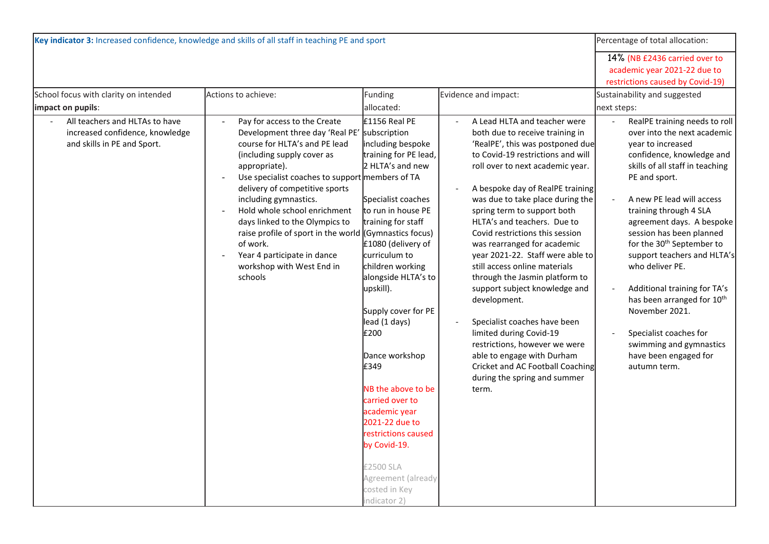| Key indicator 3: Increased confidence, knowledge and skills of all staff in teaching PE and sport | Percentage of total allocation:                                                                                                                                                                                                                                                                                                                                                                                                                                                                             |                                                                                                                                                                                                                                                                                                                                                                                                                                                                                                                   |                                                                                                                                                                                                                                                                                                                                                                                                                                                                                                                                                                                                                                                                                                                                                     |                                                                                                                                                                                                                                                                                                                                                                                                                                                                                                                                                                         |
|---------------------------------------------------------------------------------------------------|-------------------------------------------------------------------------------------------------------------------------------------------------------------------------------------------------------------------------------------------------------------------------------------------------------------------------------------------------------------------------------------------------------------------------------------------------------------------------------------------------------------|-------------------------------------------------------------------------------------------------------------------------------------------------------------------------------------------------------------------------------------------------------------------------------------------------------------------------------------------------------------------------------------------------------------------------------------------------------------------------------------------------------------------|-----------------------------------------------------------------------------------------------------------------------------------------------------------------------------------------------------------------------------------------------------------------------------------------------------------------------------------------------------------------------------------------------------------------------------------------------------------------------------------------------------------------------------------------------------------------------------------------------------------------------------------------------------------------------------------------------------------------------------------------------------|-------------------------------------------------------------------------------------------------------------------------------------------------------------------------------------------------------------------------------------------------------------------------------------------------------------------------------------------------------------------------------------------------------------------------------------------------------------------------------------------------------------------------------------------------------------------------|
| School focus with clarity on intended<br>impact on pupils:                                        | Actions to achieve:                                                                                                                                                                                                                                                                                                                                                                                                                                                                                         | Funding<br>allocated:                                                                                                                                                                                                                                                                                                                                                                                                                                                                                             | Evidence and impact:                                                                                                                                                                                                                                                                                                                                                                                                                                                                                                                                                                                                                                                                                                                                | 14% (NB £2436 carried over to<br>academic year 2021-22 due to<br>restrictions caused by Covid-19)<br>Sustainability and suggested<br>next steps:                                                                                                                                                                                                                                                                                                                                                                                                                        |
| All teachers and HLTAs to have<br>increased confidence, knowledge<br>and skills in PE and Sport.  | Pay for access to the Create<br>$\blacksquare$<br>Development three day 'Real PE' subscription<br>course for HLTA's and PE lead<br>(including supply cover as<br>appropriate).<br>Use specialist coaches to support members of TA<br>delivery of competitive sports<br>including gymnastics.<br>Hold whole school enrichment<br>days linked to the Olympics to<br>raise profile of sport in the world (Gymnastics focus)<br>of work.<br>Year 4 participate in dance<br>workshop with West End in<br>schools | £1156 Real PE<br>including bespoke<br>training for PE lead,<br>2 HLTA's and new<br>Specialist coaches<br>to run in house PE<br>training for staff<br>£1080 (delivery of<br>curriculum to<br>children working<br>alongside HLTA's to<br>upskill).<br>Supply cover for PE<br>lead (1 days)<br>£200<br>Dance workshop<br>£349<br>NB the above to be<br>carried over to<br>academic year<br>2021-22 due to<br>restrictions caused<br>by Covid-19.<br>£2500 SLA<br>Agreement (already<br>costed in Key<br>indicator 2) | A Lead HLTA and teacher were<br>both due to receive training in<br>'RealPE', this was postponed due<br>to Covid-19 restrictions and will<br>roll over to next academic year.<br>A bespoke day of RealPE training<br>was due to take place during the<br>spring term to support both<br>HLTA's and teachers. Due to<br>Covid restrictions this session<br>was rearranged for academic<br>year 2021-22. Staff were able to<br>still access online materials<br>through the Jasmin platform to<br>support subject knowledge and<br>development.<br>Specialist coaches have been<br>limited during Covid-19<br>restrictions, however we were<br>able to engage with Durham<br>Cricket and AC Football Coaching<br>during the spring and summer<br>term. | RealPE training needs to roll<br>over into the next academic<br>year to increased<br>confidence, knowledge and<br>skills of all staff in teaching<br>PE and sport.<br>A new PE lead will access<br>training through 4 SLA<br>agreement days. A bespoke<br>session has been planned<br>for the 30 <sup>th</sup> September to<br>support teachers and HLTA's<br>who deliver PE.<br>Additional training for TA's<br>has been arranged for 10 <sup>th</sup><br>November 2021.<br>Specialist coaches for<br>swimming and gymnastics<br>have been engaged for<br>autumn term. |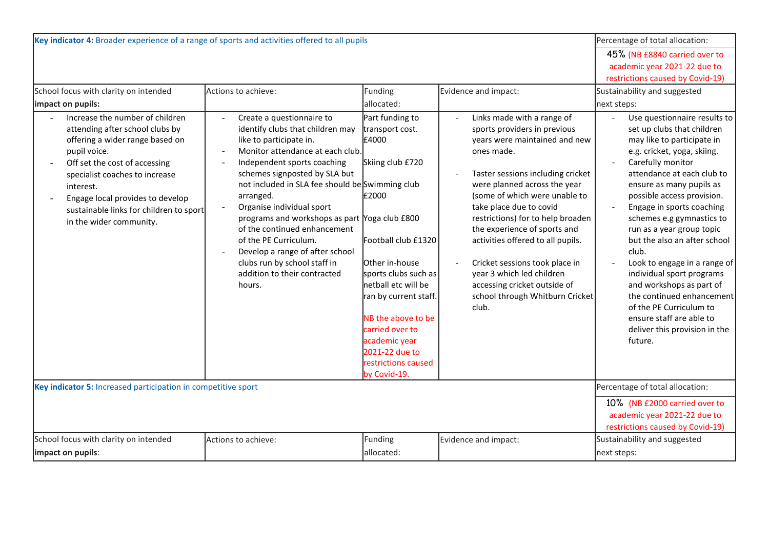| Key indicator 4: Broader experience of a range of sports and activities offered to all pupils                                                                                                                                                                                                                   | Percentage of total allocation:                                                                                                                                                                                                                                                                                                                                                                                                                                                                                                                                                                      |                                                                                                                                                                                                                                                                                                              |                                                                                                                                                                                                                                                                                                                                                                                                                                                                                                 |                                                                                                                                                                                                                                                                                                                                                                                                                                                                                                                                                                                               |  |
|-----------------------------------------------------------------------------------------------------------------------------------------------------------------------------------------------------------------------------------------------------------------------------------------------------------------|------------------------------------------------------------------------------------------------------------------------------------------------------------------------------------------------------------------------------------------------------------------------------------------------------------------------------------------------------------------------------------------------------------------------------------------------------------------------------------------------------------------------------------------------------------------------------------------------------|--------------------------------------------------------------------------------------------------------------------------------------------------------------------------------------------------------------------------------------------------------------------------------------------------------------|-------------------------------------------------------------------------------------------------------------------------------------------------------------------------------------------------------------------------------------------------------------------------------------------------------------------------------------------------------------------------------------------------------------------------------------------------------------------------------------------------|-----------------------------------------------------------------------------------------------------------------------------------------------------------------------------------------------------------------------------------------------------------------------------------------------------------------------------------------------------------------------------------------------------------------------------------------------------------------------------------------------------------------------------------------------------------------------------------------------|--|
|                                                                                                                                                                                                                                                                                                                 |                                                                                                                                                                                                                                                                                                                                                                                                                                                                                                                                                                                                      |                                                                                                                                                                                                                                                                                                              |                                                                                                                                                                                                                                                                                                                                                                                                                                                                                                 | 45% (NB £8840 carried over to                                                                                                                                                                                                                                                                                                                                                                                                                                                                                                                                                                 |  |
|                                                                                                                                                                                                                                                                                                                 |                                                                                                                                                                                                                                                                                                                                                                                                                                                                                                                                                                                                      |                                                                                                                                                                                                                                                                                                              |                                                                                                                                                                                                                                                                                                                                                                                                                                                                                                 | academic year 2021-22 due to                                                                                                                                                                                                                                                                                                                                                                                                                                                                                                                                                                  |  |
| School focus with clarity on intended                                                                                                                                                                                                                                                                           | restrictions caused by Covid-19)<br>Sustainability and suggested                                                                                                                                                                                                                                                                                                                                                                                                                                                                                                                                     |                                                                                                                                                                                                                                                                                                              |                                                                                                                                                                                                                                                                                                                                                                                                                                                                                                 |                                                                                                                                                                                                                                                                                                                                                                                                                                                                                                                                                                                               |  |
|                                                                                                                                                                                                                                                                                                                 | Actions to achieve:                                                                                                                                                                                                                                                                                                                                                                                                                                                                                                                                                                                  | Funding                                                                                                                                                                                                                                                                                                      | Evidence and impact:                                                                                                                                                                                                                                                                                                                                                                                                                                                                            |                                                                                                                                                                                                                                                                                                                                                                                                                                                                                                                                                                                               |  |
| impact on pupils:                                                                                                                                                                                                                                                                                               |                                                                                                                                                                                                                                                                                                                                                                                                                                                                                                                                                                                                      | allocated:                                                                                                                                                                                                                                                                                                   |                                                                                                                                                                                                                                                                                                                                                                                                                                                                                                 | next steps:                                                                                                                                                                                                                                                                                                                                                                                                                                                                                                                                                                                   |  |
| Increase the number of children<br>attending after school clubs by<br>offering a wider range based on<br>pupil voice.<br>Off set the cost of accessing<br>specialist coaches to increase<br>interest.<br>Engage local provides to develop<br>sustainable links for children to sport<br>in the wider community. | Create a questionnaire to<br>$\sim$<br>identify clubs that children may<br>like to participate in.<br>Monitor attendance at each club.<br>$\overline{\phantom{a}}$<br>Independent sports coaching<br>$\sim$<br>schemes signposted by SLA but<br>not included in SLA fee should be Swimming club<br>arranged.<br>Organise individual sport<br>$\blacksquare$<br>programs and workshops as part Yoga club £800<br>of the continued enhancement<br>of the PE Curriculum.<br>Develop a range of after school<br>$\blacksquare$<br>clubs run by school staff in<br>addition to their contracted<br>hours. | Part funding to<br>transport cost.<br>£4000<br>Skiing club £720<br>£2000<br>Football club £1320<br>Other in-house<br>sports clubs such as<br>netball etc will be<br>ran by current staff.<br>NB the above to be<br>carried over to<br>academic year<br>2021-22 due to<br>restrictions caused<br>by Covid-19. | Links made with a range of<br>sports providers in previous<br>years were maintained and new<br>ones made.<br>Taster sessions including cricket<br>were planned across the year<br>(some of which were unable to<br>take place due to covid<br>restrictions) for to help broaden<br>the experience of sports and<br>activities offered to all pupils.<br>Cricket sessions took place in<br>year 3 which led children<br>accessing cricket outside of<br>school through Whitburn Cricket<br>club. | Use questionnaire results to<br>set up clubs that children<br>may like to participate in<br>e.g. cricket, yoga, skiing.<br>Carefully monitor<br>attendance at each club to<br>ensure as many pupils as<br>possible access provision.<br>Engage in sports coaching<br>schemes e.g gymnastics to<br>run as a year group topic<br>but the also an after school<br>club.<br>Look to engage in a range of<br>individual sport programs<br>and workshops as part of<br>the continued enhancement<br>of the PE Curriculum to<br>ensure staff are able to<br>deliver this provision in the<br>future. |  |
| Key indicator 5: Increased participation in competitive sport                                                                                                                                                                                                                                                   | Percentage of total allocation:                                                                                                                                                                                                                                                                                                                                                                                                                                                                                                                                                                      |                                                                                                                                                                                                                                                                                                              |                                                                                                                                                                                                                                                                                                                                                                                                                                                                                                 |                                                                                                                                                                                                                                                                                                                                                                                                                                                                                                                                                                                               |  |
|                                                                                                                                                                                                                                                                                                                 |                                                                                                                                                                                                                                                                                                                                                                                                                                                                                                                                                                                                      |                                                                                                                                                                                                                                                                                                              |                                                                                                                                                                                                                                                                                                                                                                                                                                                                                                 | 10% (NB £2000 carried over to                                                                                                                                                                                                                                                                                                                                                                                                                                                                                                                                                                 |  |
|                                                                                                                                                                                                                                                                                                                 |                                                                                                                                                                                                                                                                                                                                                                                                                                                                                                                                                                                                      |                                                                                                                                                                                                                                                                                                              |                                                                                                                                                                                                                                                                                                                                                                                                                                                                                                 | academic year 2021-22 due to                                                                                                                                                                                                                                                                                                                                                                                                                                                                                                                                                                  |  |
|                                                                                                                                                                                                                                                                                                                 | restrictions caused by Covid-19)                                                                                                                                                                                                                                                                                                                                                                                                                                                                                                                                                                     |                                                                                                                                                                                                                                                                                                              |                                                                                                                                                                                                                                                                                                                                                                                                                                                                                                 |                                                                                                                                                                                                                                                                                                                                                                                                                                                                                                                                                                                               |  |
|                                                                                                                                                                                                                                                                                                                 | School focus with clarity on intended<br>Funding<br>Actions to achieve:<br>Evidence and impact:                                                                                                                                                                                                                                                                                                                                                                                                                                                                                                      |                                                                                                                                                                                                                                                                                                              |                                                                                                                                                                                                                                                                                                                                                                                                                                                                                                 | Sustainability and suggested                                                                                                                                                                                                                                                                                                                                                                                                                                                                                                                                                                  |  |
| impact on pupils:                                                                                                                                                                                                                                                                                               |                                                                                                                                                                                                                                                                                                                                                                                                                                                                                                                                                                                                      | allocated:                                                                                                                                                                                                                                                                                                   |                                                                                                                                                                                                                                                                                                                                                                                                                                                                                                 | next steps:                                                                                                                                                                                                                                                                                                                                                                                                                                                                                                                                                                                   |  |